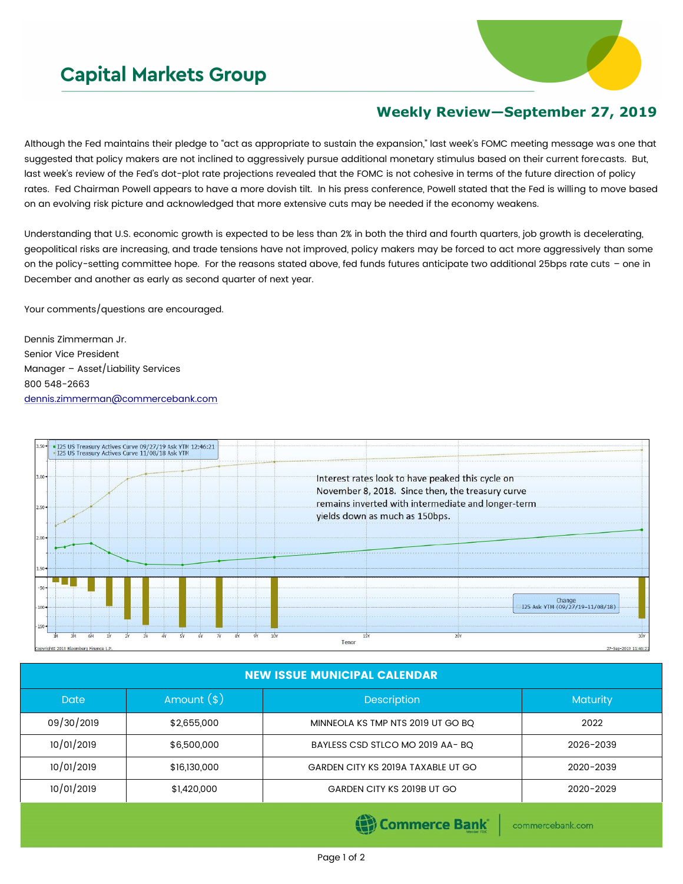## **Capital Markets Group**



## **Weekly Review—September 27, 2019**

Although the Fed maintains their pledge to "act as appropriate to sustain the expansion," last week's FOMC meeting message was one that suggested that policy makers are not inclined to aggressively pursue additional monetary stimulus based on their current forecasts. But, last week's review of the Fed's dot-plot rate projections revealed that the FOMC is not cohesive in terms of the future direction of policy rates. Fed Chairman Powell appears to have a more dovish tilt. In his press conference, Powell stated that the Fed is willing to move based on an evolving risk picture and acknowledged that more extensive cuts may be needed if the economy weakens.

Understanding that U.S. economic growth is expected to be less than 2% in both the third and fourth quarters, job growth is decelerating, geopolitical risks are increasing, and trade tensions have not improved, policy makers may be forced to act more aggressively than some on the policy-setting committee hope. For the reasons stated above, fed funds futures anticipate two additional 25bps rate cuts – one in December and another as early as second quarter of next year.

Your comments/questions are encouraged.

Dennis Zimmerman Jr. Senior Vice President Manager – Asset/Liability Services 800 548-2663 [dennis.zimmerman@commercebank.com](mailto:Dennis.Zimmerman@commercebank.com)



| <b>NEW ISSUE MUNICIPAL CALENDAR</b> |              |                                    |           |  |  |  |
|-------------------------------------|--------------|------------------------------------|-----------|--|--|--|
| <b>Date</b>                         | Amount $(*)$ | <b>Description</b>                 | Maturity  |  |  |  |
| 09/30/2019                          | \$2,655,000  | MINNEOLA KS TMP NTS 2019 UT GO BQ  | 2022      |  |  |  |
| 10/01/2019                          | \$6,500,000  | BAYLESS CSD STLCO MO 2019 AA-BQ    | 2026-2039 |  |  |  |
| 10/01/2019                          | \$16,130,000 | GARDEN CITY KS 2019A TAXABLE UT GO | 2020-2039 |  |  |  |
| 10/01/2019                          | \$1,420,000  | GARDEN CITY KS 2019B UT GO         | 2020-2029 |  |  |  |
|                                     |              |                                    |           |  |  |  |

Commerce Bank

commercebank.com